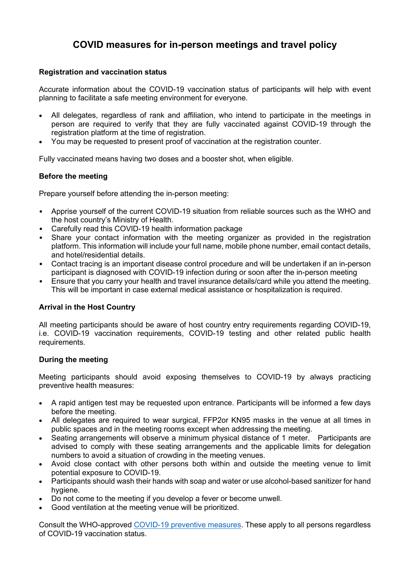# **COVID measures for in-person meetings and travel policy**

## **Registration and vaccination status**

Accurate information about the COVID-19 vaccination status of participants will help with event planning to facilitate a safe meeting environment for everyone.

- All delegates, regardless of rank and affiliation, who intend to participate in the meetings in person are required to verify that they are fully vaccinated against COVID-19 through the registration platform at the time of registration.
- You may be requested to present proof of vaccination at the registration counter.

Fully vaccinated means having two doses and a booster shot, when eligible.

#### **Before the meeting**

Prepare yourself before attending the in-person meeting:

- Apprise yourself of the current COVID-19 situation from reliable sources such as the WHO and the host country's Ministry of Health.
- Carefully read this COVID-19 health information package
- Share your contact information with the meeting organizer as provided in the registration platform. This information will include your full name, mobile phone number, email contact details, and hotel/residential details.
- Contact tracing is an important disease control procedure and will be undertaken if an in-person participant is diagnosed with COVID-19 infection during or soon after the in-person meeting
- Ensure that you carry your health and travel insurance details/card while you attend the meeting. This will be important in case external medical assistance or hospitalization is required.

# **Arrival in the Host Country**

All meeting participants should be aware of host country entry requirements regarding COVID-19, i.e. COVID-19 vaccination requirements, COVID-19 testing and other related public health requirements.

#### **During the meeting**

Meeting participants should avoid exposing themselves to COVID-19 by always practicing preventive health measures:

- A rapid antigen test may be requested upon entrance. Participants will be informed a few days before the meeting.
- All delegates are required to wear surgical, FFP2or KN95 masks in the venue at all times in public spaces and in the meeting rooms except when addressing the meeting.
- Seating arrangements will observe a minimum physical distance of 1 meter. Participants are advised to comply with these seating arrangements and the applicable limits for delegation numbers to avoid a situation of crowding in the meeting venues.
- Avoid close contact with other persons both within and outside the meeting venue to limit potential exposure to COVID-19.
- Participants should wash their hands with soap and water or use alcohol-based sanitizer for hand hygiene.
- Do not come to the meeting if you develop a fever or become unwell.
- Good ventilation at the meeting venue will be prioritized.

Consult the WHO-approved [COVID-19 preventive measures.](https://www.who.int/westernpacific/emergencies/covid-19/information/transmission-protective-measures) These apply to all persons regardless of COVID-19 vaccination status.